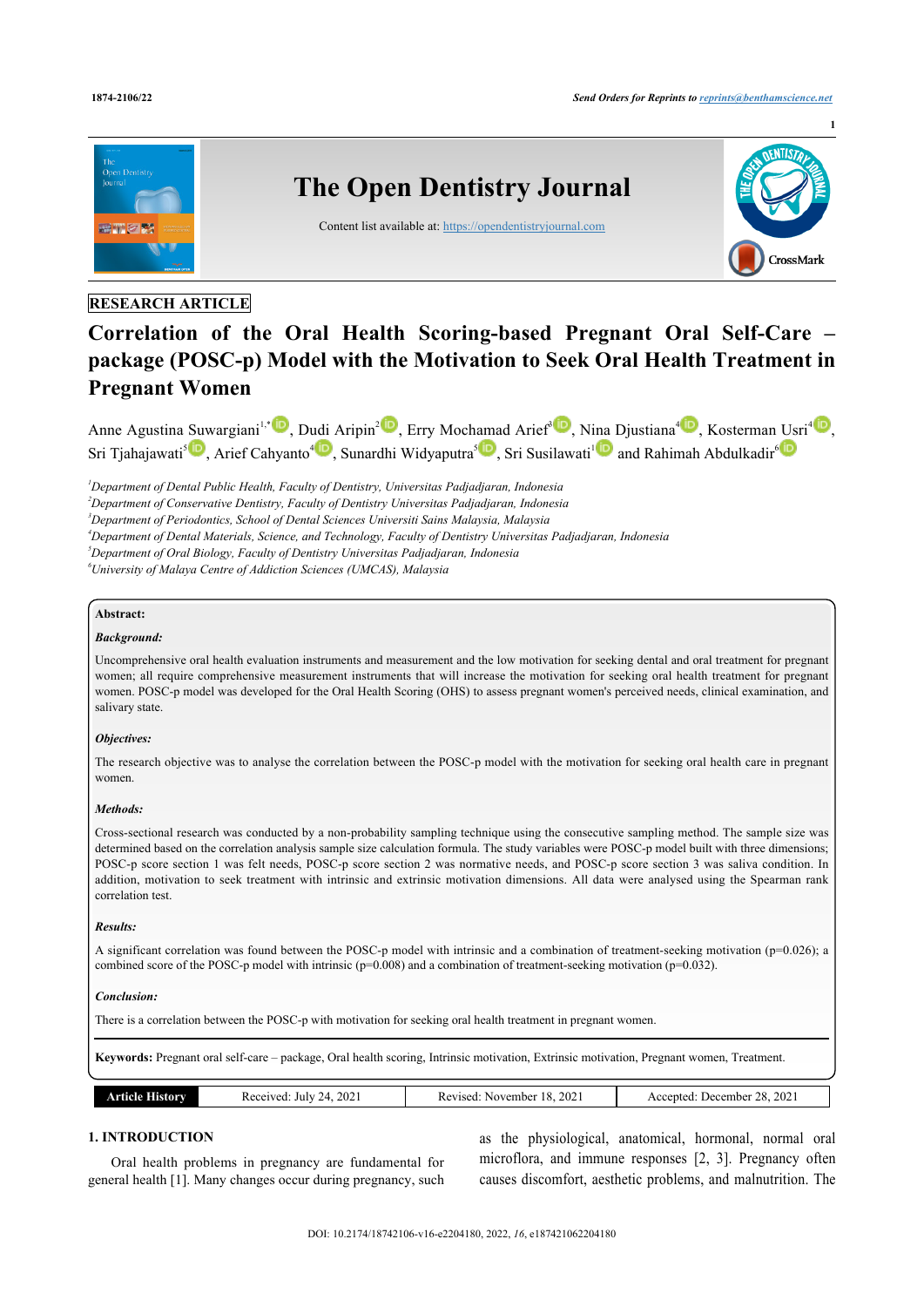

# **RESEARCH ARTICLE**

# **Correlation of the Oral Health Scoring-based Pregnant Oral Self-Care – package (POSC-p) Model with the Motivation to Seek Oral Health Treatment in Pregnant Women**

Anne Agustina [Suw](http://orcid.org/0000-0003-4060-3319)argiani<sup>[1](#page-0-0),[\\*](#page-1-0)</sup> D[,](http://orcid.org/0000-0002-1726-4972) D[udi](http://orcid.org/0000-0003-2222-5895) Aripin<sup>[2](#page-0-1)</sup><sup>10</sup>, Erry Moch[ama](http://orcid.org/0000-0003-1286-7202)d Arief<sup>[3](#page-0-2)10</sup>, Ni[na](http://orcid.org/0000-0003-1004-2055) Djustiana<sup>[4](#page-0-3)10</sup>, Kosterman [Us](http://orcid.org/0000-0001-9524-6676)ri<sup>410</sup>, Sri Tjahajawati<sup>s</sup> D, Arief Cahyanto<sup>[4](#page-0-3)</sup> D, Sunardhi Widyaputra<sup>s</sup> D, Sri Susilawati<sup>[1](#page-0-0)</sup> D and Rahimah Abdulkadir<sup>[6](#page-0-5)</sup>

<span id="page-0-0"></span>*<sup>1</sup>Department of Dental Public Health, Faculty of Dentistry, Universitas Padjadjaran, Indonesia*

<span id="page-0-1"></span>*<sup>2</sup>Department of Conservative Dentistry, Faculty of Dentistry Universitas Padjadjaran, Indonesia*

<span id="page-0-2"></span>*<sup>3</sup>Department of Periodontics, School of Dental Sciences Universiti Sains Malaysia, Malaysia*

- <span id="page-0-3"></span>*<sup>4</sup>Department of Dental Materials, Science, and Technology, Faculty of Dentistry Universitas Padjadjaran, Indonesia*
- <span id="page-0-4"></span>*<sup>5</sup>Department of Oral Biology, Faculty of Dentistry Universitas Padjadjaran, Indonesia*

<span id="page-0-5"></span>*<sup>6</sup>University of Malaya Centre of Addiction Sciences (UMCAS), Malaysia*

#### **Abstract:**

## *Background:*

Uncomprehensive oral health evaluation instruments and measurement and the low motivation for seeking dental and oral treatment for pregnant women; all require comprehensive measurement instruments that will increase the motivation for seeking oral health treatment for pregnant women. POSC-p model was developed for the Oral Health Scoring (OHS) to assess pregnant women's perceived needs, clinical examination, and salivary state.

#### *Objectives:*

The research objective was to analyse the correlation between the POSC-p model with the motivation for seeking oral health care in pregnant women.

#### *Methods:*

Cross-sectional research was conducted by a non-probability sampling technique using the consecutive sampling method. The sample size was determined based on the correlation analysis sample size calculation formula. The study variables were POSC-p model built with three dimensions; POSC-p score section 1 was felt needs, POSC-p score section 2 was normative needs, and POSC-p score section 3 was saliva condition. In addition, motivation to seek treatment with intrinsic and extrinsic motivation dimensions. All data were analysed using the Spearman rank correlation test.

#### *Results:*

A significant correlation was found between the POSC-p model with intrinsic and a combination of treatment-seeking motivation (p=0.026); a combined score of the POSC-p model with intrinsic ( $p=0.008$ ) and a combination of treatment-seeking motivation ( $p=0.032$ ).

#### *Conclusion:*

There is a correlation between the POSC-p with motivation for seeking oral health treatment in pregnant women.

**Keywords:** Pregnant oral self-care – package, Oral health scoring, Intrinsic motivation, Extrinsic motivation, Pregnant women, Treatment.

| 202<br>202<br>2021<br>$\Omega$<br>$\cdot$<br>Received<br>December<br>July<br>November<br>ccepted.<br>Revised<br>orv<br>- 74<br>-ческ<br>۱O۱.<br>$\overline{\phantom{a}}$<br>----<br>$  -$<br>.<br>$\sim$ |
|----------------------------------------------------------------------------------------------------------------------------------------------------------------------------------------------------------|
|----------------------------------------------------------------------------------------------------------------------------------------------------------------------------------------------------------|

#### **1. INTRODUCTION**

Oral health problems in pregnancy are fundamental for general health [[1](#page-7-0)]. Many changes occur during pregnancy, such

as the physiological, anatomical, hormonal, normal oral microflora, and immune responses [\[2](#page-7-1), [3](#page-7-2)]. Pregnancy often causes discomfort, aesthetic problems, and malnutrition. The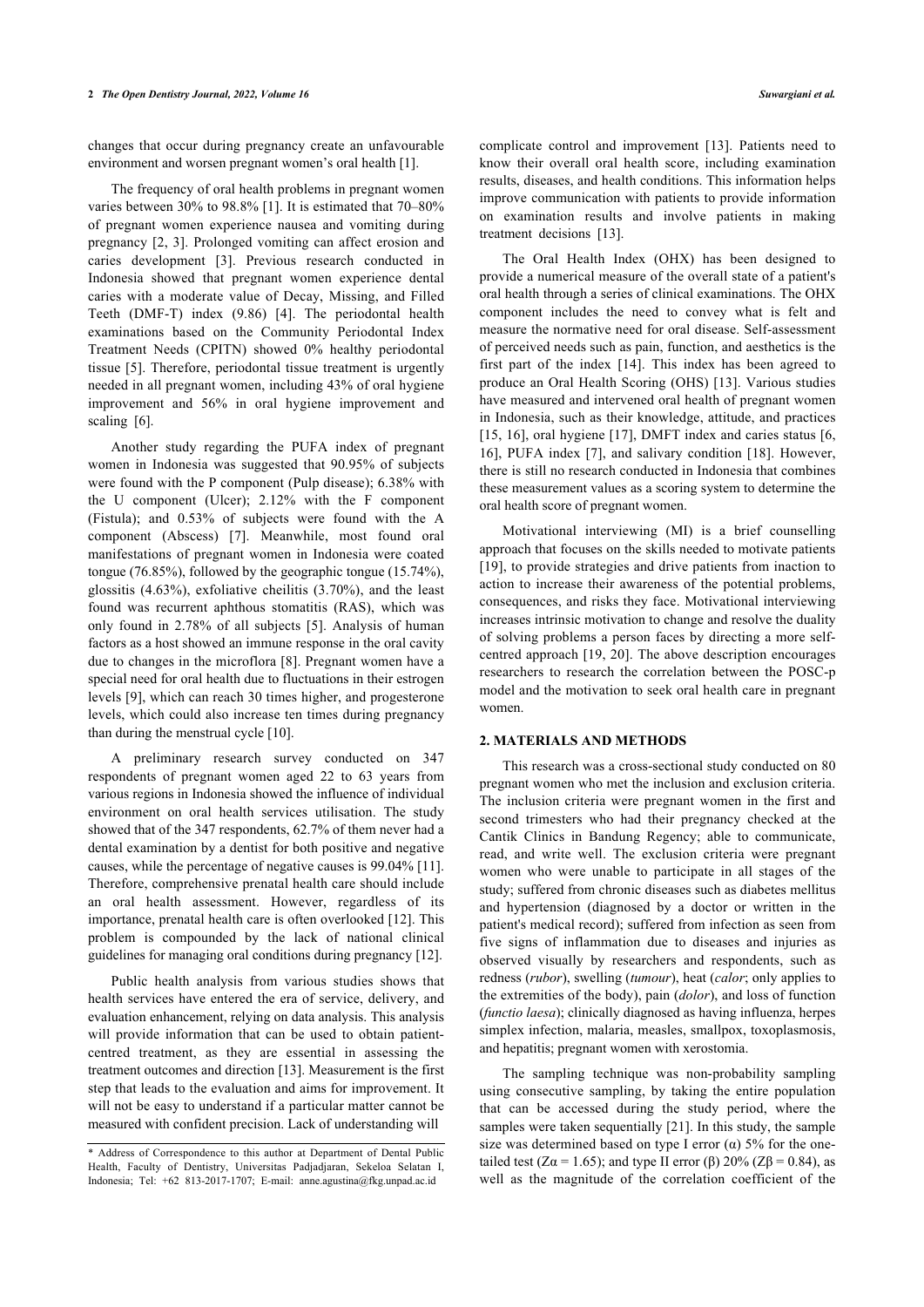changes that occur during pregnancy create an unfavourable environment and worsen pregnant women's oral health [\[1\]](#page-7-0).

The frequency of oral health problems in pregnant women varies between 30% to 98.8% [\[1](#page-7-0)]. It is estimated that 70–80% of pregnant women experience nausea and vomiting during pregnancy [\[2,](#page-7-1) [3](#page-7-2)]. Prolonged vomiting can affect erosion and caries development[[3\]](#page-7-2). Previous research conducted in Indonesia showed that pregnant women experience dental caries with a moderate value of Decay, Missing, and Filled Teeth (DMF-T) index (9.86)[[4](#page-7-3)]. The periodontal health examinations based on the Community Periodontal Index Treatment Needs (CPITN) showed 0% healthy periodontal tissue [[5\]](#page-7-4). Therefore, periodontal tissue treatment is urgently needed in all pregnant women, including 43% of oral hygiene improvement and 56% in oral hygiene improvement and scaling [\[6\]](#page-7-5).

Another study regarding the PUFA index of pregnant women in Indonesia was suggested that 90.95% of subjects were found with the P component (Pulp disease); 6.38% with the U component (Ulcer); 2.12% with the F component (Fistula); and 0.53% of subjects were found with the A component (Abscess)[[7\]](#page-7-6). Meanwhile, most found oral manifestations of pregnant women in Indonesia were coated tongue (76.85%), followed by the geographic tongue (15.74%), glossitis (4.63%), exfoliative cheilitis (3.70%), and the least found was recurrent aphthous stomatitis (RAS), which was only found in 2.78% of all subjects[[5](#page-7-4)]. Analysis of human factors as a host showed an immune response in the oral cavity due to changes in the microflora [[8\]](#page-7-7). Pregnant women have a special need for oral health due to fluctuations in their estrogen levels [[9\]](#page-7-8), which can reach 30 times higher, and progesterone levels, which could also increase ten times during pregnancy than during the menstrual cycle [\[10](#page-7-9)].

A preliminary research survey conducted on 347 respondents of pregnant women aged 22 to 63 years from various regions in Indonesia showed the influence of individual environment on oral health services utilisation. The study showed that of the 347 respondents, 62.7% of them never had a dental examination by a dentist for both positive and negative causes, while the percentage of negative causes is 99.04% [[11](#page-7-10)]. Therefore, comprehensive prenatal health care should include an oral health assessment. However, regardless of its importance, prenatal health care is often overlooked [\[12](#page-7-11)]. This problem is compounded by the lack of national clinical guidelines for managing oral conditions during pregnancy [[12\]](#page-7-11).

Public health analysis from various studies shows that health services have entered the era of service, delivery, and evaluation enhancement, relying on data analysis. This analysis will provide information that can be used to obtain patientcentred treatment, as they are essential in assessing the treatment outcomes and direction [\[13](#page-7-12)]. Measurement is the first step that leads to the evaluation and aims for improvement. It will not be easy to understand if a particular matter cannot be measured with confident precision. Lack of understanding will

complicate control and improvement[[13\]](#page-7-12). Patients need to know their overall oral health score, including examination results, diseases, and health conditions. This information helps improve communication with patients to provide information on examination results and involve patients in making treatment decisions[[13\]](#page-7-12).

The Oral Health Index (OHX) has been designed to provide a numerical measure of the overall state of a patient's oral health through a series of clinical examinations. The OHX component includes the need to convey what is felt and measure the normative need for oral disease. Self-assessment of perceived needs such as pain, function, and aesthetics is the first part of the index [\[14](#page-7-13)]. This index has been agreed to produce an Oral Health Scoring (OHS) [[13](#page-7-12)]. Various studies have measured and intervened oral health of pregnant women in Indonesia, such as their knowledge, attitude, and practices [[15](#page-7-14), [16\]](#page-7-15), oral hygiene [[17](#page-8-0)], DMFT index and caries status [[6](#page-7-5), [16](#page-7-15)], PUFA index [[7](#page-7-6)], and salivary condition [[18\]](#page-8-1). However, there is still no research conducted in Indonesia that combines these measurement values as a scoring system to determine the oral health score of pregnant women.

Motivational interviewing (MI) is a brief counselling approach that focuses on the skills needed to motivate patients [[19](#page-8-2)], to provide strategies and drive patients from inaction to action to increase their awareness of the potential problems, consequences, and risks they face. Motivational interviewing increases intrinsic motivation to change and resolve the duality of solving problems a person faces by directing a more selfcentred approach [[19](#page-8-2), [20\]](#page-8-3). The above description encourages researchers to research the correlation between the POSC-p model and the motivation to seek oral health care in pregnant women.

#### **2. MATERIALS AND METHODS**

This research was a cross-sectional study conducted on 80 pregnant women who met the inclusion and exclusion criteria. The inclusion criteria were pregnant women in the first and second trimesters who had their pregnancy checked at the Cantik Clinics in Bandung Regency; able to communicate, read, and write well. The exclusion criteria were pregnant women who were unable to participate in all stages of the study; suffered from chronic diseases such as diabetes mellitus and hypertension (diagnosed by a doctor or written in the patient's medical record); suffered from infection as seen from five signs of inflammation due to diseases and injuries as observed visually by researchers and respondents, such as redness (*rubor*), swelling (*tumour*), heat (*calor*; only applies to the extremities of the body), pain (*dolor*), and loss of function (*functio laesa*); clinically diagnosed as having influenza, herpes simplex infection, malaria, measles, smallpox, toxoplasmosis, and hepatitis; pregnant women with xerostomia.

The sampling technique was non-probability sampling using consecutive sampling, by taking the entire population that can be accessed during the study period, where the samples were taken sequentially [\[21\]](#page-8-4). In this study, the sample size was determined based on type I error  $(\alpha)$  5% for the onetailed test (Zα = 1.65); and type II error (β) 20% (Zβ = 0.84), as well as the magnitude of the correlation coefficient of the

<span id="page-1-0"></span><sup>\*</sup> Address of Correspondence to this author at Department of Dental Public Health, Faculty of Dentistry, Universitas Padjadjaran, Sekeloa Selatan I, Indonesia; Tel: +62 813-2017-1707; E-mail: [anne.agustina@fkg.unpad.ac.id](mailto:%20%20%20anne.agustina@fkg.unpad.ac.id)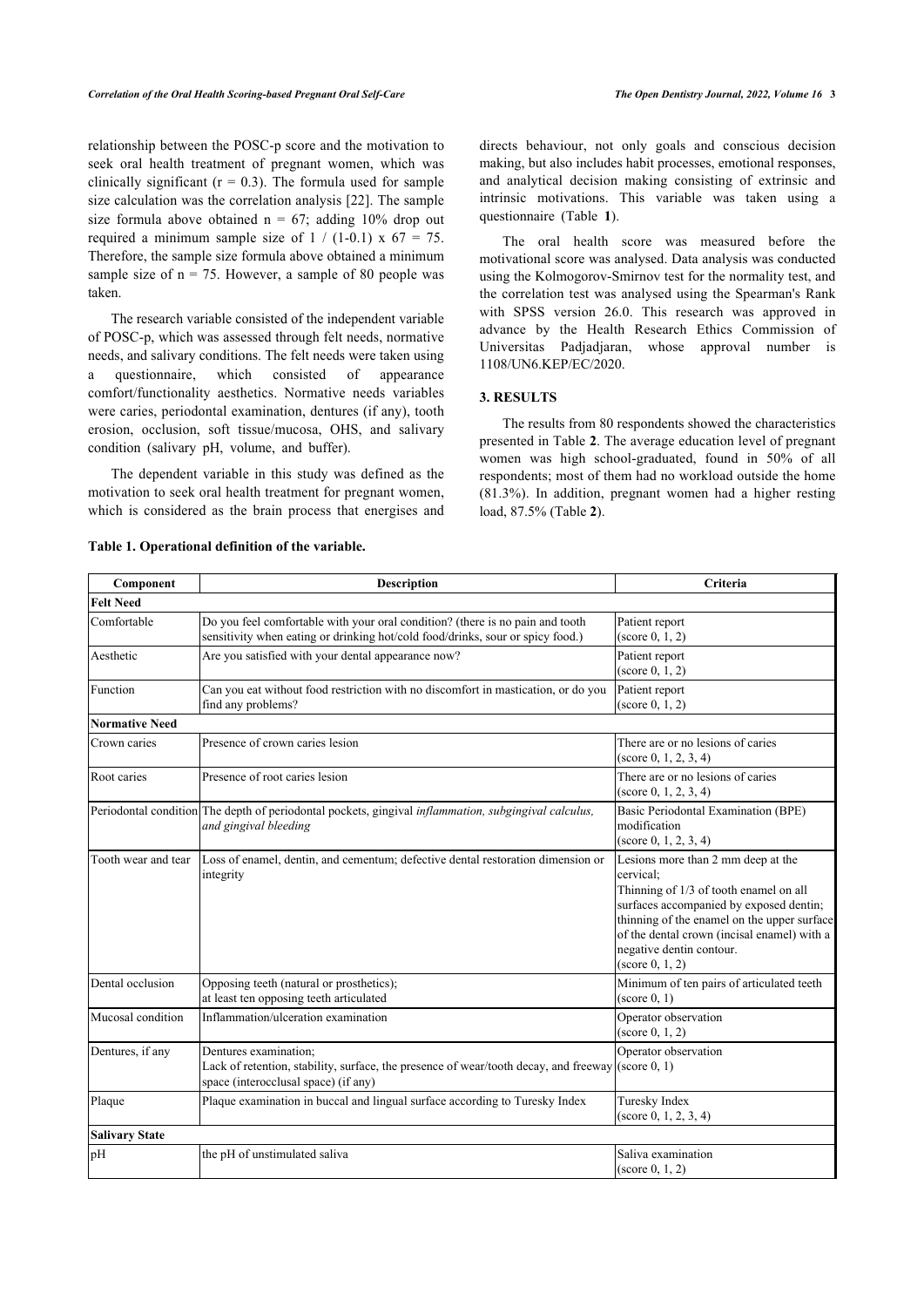relationship between the POSC-p score and the motivation to seek oral health treatment of pregnant women, which was clinically significant  $(r = 0.3)$ . The formula used for sample size calculation was the correlation analysis [[22](#page-8-5)]. The sample size formula above obtained  $n = 67$ ; adding 10% drop out required a minimum sample size of  $1 / (1-0.1) \times 67 = 75$ . Therefore, the sample size formula above obtained a minimum sample size of  $n = 75$ . However, a sample of 80 people was taken.

The research variable consisted of the independent variable of POSC-p, which was assessed through felt needs, normative needs, and salivary conditions. The felt needs were taken using a questionnaire, which consisted of appearance comfort/functionality aesthetics. Normative needs variables were caries, periodontal examination, dentures (if any), tooth erosion, occlusion, soft tissue/mucosa, OHS, and salivary condition (salivary pH, volume, and buffer).

The dependent variable in this study was defined as the motivation to seek oral health treatment for pregnant women, which is considered as the brain process that energises and directs behaviour, not only goals and conscious decision making, but also includes habit processes, emotional responses, and analytical decision making consisting of extrinsic and intrinsic motivations. This variable was taken using a questionnaire (Table**1**).

The oral health score was measured before the motivational score was analysed. Data analysis was conducted using the Kolmogorov-Smirnov test for the normality test, and the correlation test was analysed using the Spearman's Rank with SPSS version 26.0. This research was approved in advance by the Health Research Ethics Commission of Universitas Padjadjaran, whose approval number is 1108/UN6.KEP/EC/2020.

# **3. RESULTS**

The results from 80 respondents showed the characteristics presented in Table **[2](#page-3-0)**. The average education level of pregnant women was high school-graduated, found in 50% of all respondents; most of them had no workload outside the home (81.3%). In addition, pregnant women had a higher resting load, 87.5% (Table **[2](#page-3-0)**).

| Component             | <b>Description</b>                                                                                                                                                      | Criteria                                                                                                                                                                                                                                                                          |
|-----------------------|-------------------------------------------------------------------------------------------------------------------------------------------------------------------------|-----------------------------------------------------------------------------------------------------------------------------------------------------------------------------------------------------------------------------------------------------------------------------------|
| <b>Felt Need</b>      |                                                                                                                                                                         |                                                                                                                                                                                                                                                                                   |
| Comfortable           | Do you feel comfortable with your oral condition? (there is no pain and tooth<br>sensitivity when eating or drinking hot/cold food/drinks, sour or spicy food.)         | Patient report<br>(score 0, 1, 2)                                                                                                                                                                                                                                                 |
| Aesthetic             | Are you satisfied with your dental appearance now?                                                                                                                      | Patient report<br>(score 0, 1, 2)                                                                                                                                                                                                                                                 |
| Function              | Can you eat without food restriction with no discomfort in mastication, or do you<br>find any problems?                                                                 | Patient report<br>(score 0, 1, 2)                                                                                                                                                                                                                                                 |
| <b>Normative Need</b> |                                                                                                                                                                         |                                                                                                                                                                                                                                                                                   |
| Crown caries          | Presence of crown caries lesion                                                                                                                                         | There are or no lesions of caries<br>(score 0, 1, 2, 3, 4)                                                                                                                                                                                                                        |
| Root caries           | Presence of root caries lesion                                                                                                                                          | There are or no lesions of caries<br>(score 0, 1, 2, 3, 4)                                                                                                                                                                                                                        |
|                       | Periodontal condition The depth of periodontal pockets, gingival <i>inflammation, subgingival calculus</i> ,<br>and gingival bleeding                                   | Basic Periodontal Examination (BPE)<br>modification<br>(score 0, 1, 2, 3, 4)                                                                                                                                                                                                      |
| Tooth wear and tear   | Loss of enamel, dentin, and cementum; defective dental restoration dimension or<br>integrity                                                                            | Lesions more than 2 mm deep at the<br>cervical;<br>Thinning of 1/3 of tooth enamel on all<br>surfaces accompanied by exposed dentin;<br>thinning of the enamel on the upper surface<br>of the dental crown (incisal enamel) with a<br>negative dentin contour.<br>(score 0, 1, 2) |
| Dental occlusion      | Opposing teeth (natural or prosthetics);<br>at least ten opposing teeth articulated                                                                                     | Minimum of ten pairs of articulated teeth<br>$(\text{score } 0, 1)$                                                                                                                                                                                                               |
| Mucosal condition     | Inflammation/ulceration examination                                                                                                                                     | Operator observation<br>(score 0, 1, 2)                                                                                                                                                                                                                                           |
| Dentures, if any      | Dentures examination;<br>Lack of retention, stability, surface, the presence of wear/tooth decay, and freeway (score $(0, 1)$ )<br>space (interocclusal space) (if any) | Operator observation                                                                                                                                                                                                                                                              |
| Plaque                | Plaque examination in buccal and lingual surface according to Turesky Index                                                                                             | Turesky Index<br>$(score\ 0, 1, 2, 3, 4)$                                                                                                                                                                                                                                         |
| Salivary State        |                                                                                                                                                                         |                                                                                                                                                                                                                                                                                   |
| pH                    | the pH of unstimulated saliva                                                                                                                                           | Saliva examination<br>(score 0, 1, 2)                                                                                                                                                                                                                                             |
|                       |                                                                                                                                                                         |                                                                                                                                                                                                                                                                                   |

#### <span id="page-2-0"></span>**Table 1. Operational definition of the variable.**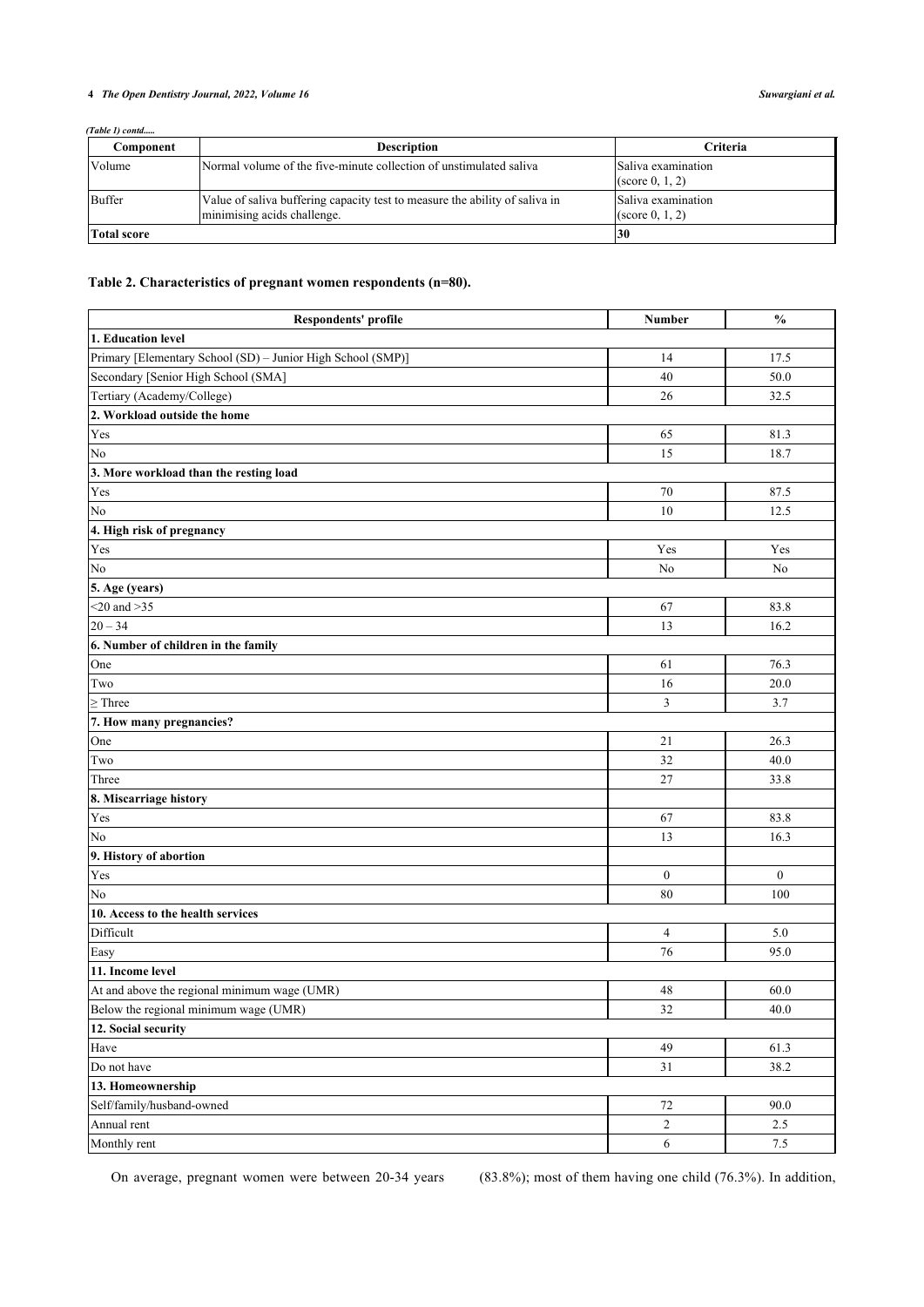# **4** *The Open Dentistry Journal, 2022, Volume 16 Suwargiani et al.*

*(Table 1) contd.....*

| Component          | <b>Description</b>                                                                                         | <b>Criteria</b>                                 |
|--------------------|------------------------------------------------------------------------------------------------------------|-------------------------------------------------|
| Volume             | Normal volume of the five-minute collection of unstimulated saliva                                         | Saliva examination<br>$(\text{score } 0, 1, 2)$ |
| Buffer             | Value of saliva buffering capacity test to measure the ability of saliva in<br>minimising acids challenge. | Saliva examination<br>$(\text{score } 0, 1, 2)$ |
| <b>Total score</b> |                                                                                                            | 130                                             |

# <span id="page-3-0"></span>**Table 2. Characteristics of pregnant women respondents (n=80).**

| Respondents' profile                                        | Number           | $\frac{0}{0}$    |
|-------------------------------------------------------------|------------------|------------------|
| 1. Education level                                          |                  |                  |
| Primary [Elementary School (SD) - Junior High School (SMP)] | 14               | 17.5             |
| Secondary [Senior High School (SMA]                         | 40               | 50.0             |
| Tertiary (Academy/College)                                  | 26               | 32.5             |
| 2. Workload outside the home                                |                  |                  |
| Yes                                                         | 65               | 81.3             |
| No                                                          | 15               | 18.7             |
| 3. More workload than the resting load                      |                  |                  |
| Yes                                                         | 70               | 87.5             |
| No                                                          | 10               | 12.5             |
| 4. High risk of pregnancy                                   |                  |                  |
| Yes                                                         | Yes              | Yes              |
| No                                                          | $\rm No$         | No               |
| 5. Age (years)                                              |                  |                  |
| $<$ 20 and $>$ 35                                           | 67               | 83.8             |
| $20 - 34$                                                   | 13               | 16.2             |
| 6. Number of children in the family                         |                  |                  |
| One                                                         | 61               | 76.3             |
| Two                                                         | 16               | 20.0             |
| $\geq$ Three                                                | $\mathfrak{Z}$   | 3.7              |
| 7. How many pregnancies?                                    |                  |                  |
| One                                                         | 21               | 26.3             |
| Two                                                         | 32               | 40.0             |
| Three                                                       | 27               | 33.8             |
| 8. Miscarriage history                                      |                  |                  |
| Yes                                                         | 67               | 83.8             |
| No                                                          | 13               | 16.3             |
| 9. History of abortion                                      |                  |                  |
| Yes                                                         | $\boldsymbol{0}$ | $\boldsymbol{0}$ |
| No                                                          | 80               | 100              |
| 10. Access to the health services                           |                  |                  |
| Difficult                                                   | $\overline{4}$   | 5.0              |
| Easy                                                        | 76               | 95.0             |
| 11. Income level                                            |                  |                  |
| At and above the regional minimum wage (UMR)                | 48               | 60.0             |
| Below the regional minimum wage (UMR)                       | 32               | 40.0             |
| 12. Social security                                         |                  |                  |
| Have                                                        | 49               | 61.3             |
| Do not have                                                 | 31               | 38.2             |
| 13. Homeownership                                           |                  |                  |
| Self/family/husband-owned                                   | $72\,$           | 90.0             |
| Annual rent                                                 | $\sqrt{2}$       | 2.5              |
| Monthly rent                                                | $6\phantom{.0}$  | $7.5\,$          |

On average, pregnant women were between 20-34 years (83.8%); most of them having one child (76.3%). In addition,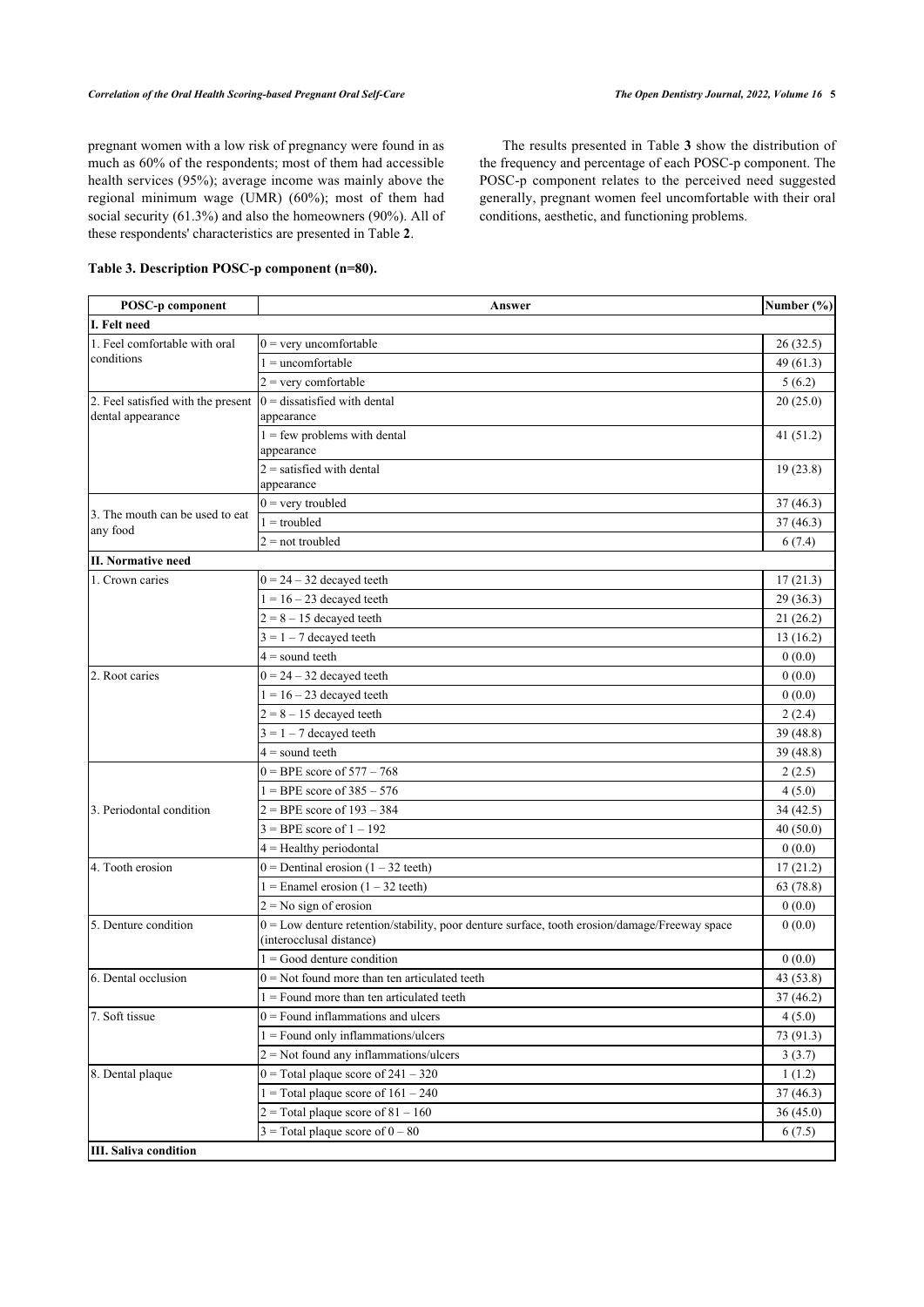pregnant women with a low risk of pregnancy were found in as much as 60% of the respondents; most of them had accessible health services (95%); average income was mainly above the regional minimum wage (UMR) (60%); most of them had social security (61.3%) and also the homeowners (90%). All of these respondents' characteristics are presented in Table **[2](#page-3-0)**.

#### <span id="page-4-0"></span>**Table 3. Description POSC-p component (n=80).**

The results presented in Table **[3](#page-4-0)** show the distribution of the frequency and percentage of each POSC-p component. The POSC-p component relates to the perceived need suggested generally, pregnant women feel uncomfortable with their oral conditions, aesthetic, and functioning problems.

| POSC-p component                   | Answer                                                                                        | Number (%) |
|------------------------------------|-----------------------------------------------------------------------------------------------|------------|
| I. Felt need                       |                                                                                               |            |
| 1. Feel comfortable with oral      | $0 =$ very uncomfortable                                                                      | 26(32.5)   |
| conditions                         | $=$ uncomfortable                                                                             | 49 (61.3)  |
|                                    | $2 =$ very comfortable                                                                        | 5(6.2)     |
| 2. Feel satisfied with the present | $0 =$ dissatisfied with dental                                                                | 20(25.0)   |
| dental appearance                  | appearance                                                                                    |            |
|                                    | $1 = few problems with dental$                                                                | 41(51.2)   |
|                                    | appearance                                                                                    |            |
|                                    | $2$ = satisfied with dental<br>appearance                                                     | 19(23.8)   |
|                                    | $0 =$ very troubled                                                                           | 37(46.3)   |
| 3. The mouth can be used to eat    | $1 =$ troubled                                                                                | 37(46.3)   |
| any food                           | $2 = not$ troubled                                                                            | 6(7.4)     |
| <b>II. Normative need</b>          |                                                                                               |            |
| 1. Crown caries                    | $0 = 24 - 32$ decayed teeth                                                                   | 17(21.3)   |
|                                    | $1 = 16 - 23$ decayed teeth                                                                   | 29(36.3)   |
|                                    | $2 = 8 - 15$ decayed teeth                                                                    | 21(26.2)   |
|                                    | $3 = 1 - 7$ decayed teeth                                                                     | 13(16.2)   |
|                                    | $4 =$ sound teeth                                                                             | 0(0.0)     |
| 2. Root caries                     | $0 = 24 - 32$ decayed teeth                                                                   | 0(0.0)     |
|                                    | $1 = 16 - 23$ decayed teeth                                                                   | 0(0.0)     |
|                                    | $2 = 8 - 15$ decayed teeth                                                                    | 2(2.4)     |
|                                    | $3 = 1 - 7$ decayed teeth                                                                     | 39 (48.8)  |
|                                    | $4 =$ sound teeth                                                                             | 39 (48.8)  |
|                                    | $0 = BPE$ score of $577 - 768$                                                                | 2(2.5)     |
|                                    | $1 = BPE$ score of $385 - 576$                                                                | 4(5.0)     |
| 3. Periodontal condition           | $2 = BPE$ score of $193 - 384$                                                                | 34(42.5)   |
|                                    | $3 = BPE$ score of $1 - 192$                                                                  | 40(50.0)   |
|                                    | $4 =$ Healthy periodontal                                                                     | 0(0.0)     |
| 4. Tooth erosion                   | $0$ = Dentinal erosion (1 – 32 teeth)                                                         | 17(21.2)   |
|                                    | $1 =$ Enamel erosion $(1 – 32 \text{ teeth})$                                                 | 63 (78.8)  |
|                                    | $2 = No$ sign of erosion                                                                      | 0(0.0)     |
| 5. Denture condition               | 0 = Low denture retention/stability, poor denture surface, tooth erosion/damage/Freeway space | 0(0.0)     |
|                                    | (interocclusal distance)                                                                      |            |
|                                    | $=$ Good denture condition                                                                    | 0(0.0)     |
| 6. Dental occlusion                | $0 =$ Not found more than ten articulated teeth                                               | 43 (53.8)  |
|                                    | $1 =$ Found more than ten articulated teeth                                                   | 37 (46.2)  |
| 7. Soft tissue                     | $0 =$ Found inflammations and ulcers                                                          | 4(5.0)     |
|                                    | $1 =$ Found only inflammations/ulcers                                                         | 73 (91.3)  |
|                                    | $2$ = Not found any inflammations/ulcers                                                      | 3(3.7)     |
| 8. Dental plaque                   | $0 = Total$ plaque score of $241 - 320$                                                       | 1(1.2)     |
|                                    | $1 = Total$ plaque score of $161 - 240$                                                       | 37(46.3)   |
|                                    | $2$ = Total plaque score of 81 – 160                                                          | 36(45.0)   |
|                                    | $3$ = Total plaque score of $0 - 80$                                                          | 6(7.5)     |
| <b>III.</b> Saliva condition       |                                                                                               |            |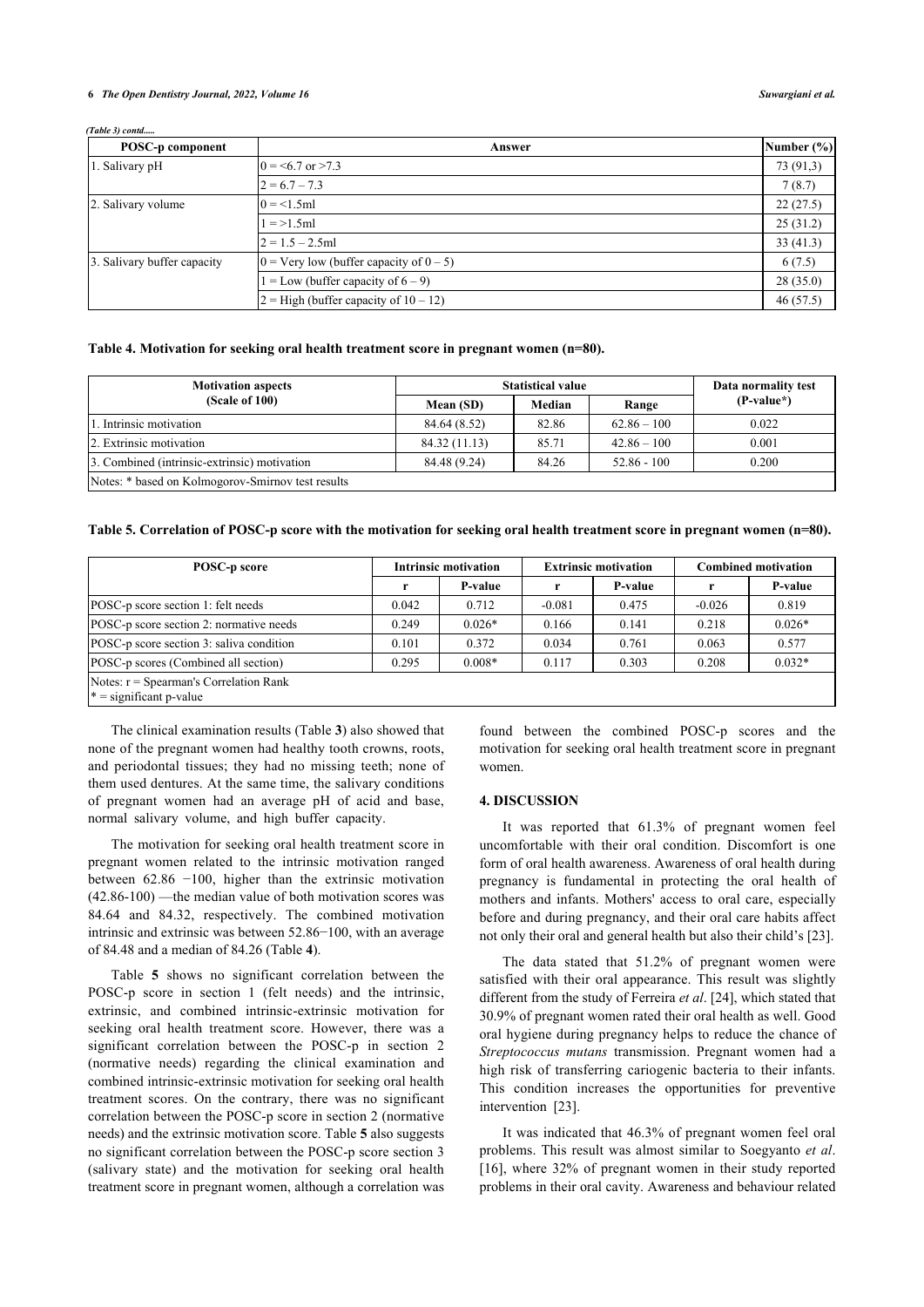#### **6** *The Open Dentistry Journal, 2022, Volume 16 Suwargiani et al.*

#### *(Table ) contd.....*

| POSC-p component            | Answer                                            | Number $(\% )$ |
|-----------------------------|---------------------------------------------------|----------------|
| 1. Salivary pH              | $0 = 5.7$ or $> 7.3$                              | 73 (91,3)      |
|                             | $2 = 6.7 - 7.3$                                   | 7(8.7)         |
| 2. Salivary volume          | $0 = 1.5$ ml                                      | 22(27.5)       |
|                             | $1 = > 1.5$ ml                                    | 25(31.2)       |
|                             | $2 = 1.5 - 2.5$ ml                                | 33(41.3)       |
| 3. Salivary buffer capacity | $0 = \text{Very low (buffer capacity of } 0 - 5)$ | 6(7.5)         |
|                             | $I = Low$ (buffer capacity of $6 - 9$ )           | 28(35.0)       |
|                             | $2 =$ High (buffer capacity of $10 - 12$ )        | 46(57.5)       |

#### <span id="page-5-0"></span>**Table 4. Motivation for seeking oral health treatment score in pregnant women (n=80).**

| <b>Motivation aspects</b>                         |               | <b>Statistical value</b> |               | Data normality test |  |
|---------------------------------------------------|---------------|--------------------------|---------------|---------------------|--|
| (Scale of 100)                                    | Mean (SD)     | Median                   | Range         | $(P-value^*)$       |  |
| 1. Intrinsic motivation                           | 84.64 (8.52)  | 82.86                    | $62.86 - 100$ | 0.022               |  |
| 2. Extrinsic motivation                           | 84.32 (11.13) | 85.71                    | $42.86 - 100$ | 0.001               |  |
| 3. Combined (intrinsic-extrinsic) motivation      | 84.48 (9.24)  | 84.26                    | $52.86 - 100$ | 0.200               |  |
| Notes: * based on Kolmogorov-Smirnov test results |               |                          |               |                     |  |

#### <span id="page-5-1"></span>**Table 5. Correlation of POSC-p score with the motivation for seeking oral health treatment score in pregnant women (n=80).**

| POSC-p score                                                          | <b>Intrinsic motivation</b> |                | <b>Extrinsic motivation</b> |         | <b>Combined motivation</b> |          |
|-----------------------------------------------------------------------|-----------------------------|----------------|-----------------------------|---------|----------------------------|----------|
|                                                                       |                             | <b>P-value</b> |                             | P-value |                            | P-value  |
| POSC-p score section 1: felt needs                                    | 0.042                       | 0.712          | $-0.081$                    | 0.475   | $-0.026$                   | 0.819    |
| POSC-p score section 2: normative needs                               | 0.249                       | $0.026*$       | 0.166                       | 0.141   | 0.218                      | $0.026*$ |
| POSC-p score section 3: saliva condition                              | 0.101                       | 0.372          | 0.034                       | 0.761   | 0.063                      | 0.577    |
| POSC-p scores (Combined all section)                                  | 0.295                       | $0.008*$       | 0.117                       | 0.303   | 0.208                      | $0.032*$ |
| Notes: $r =$ Spearman's Correlation Rank<br>$* =$ significant p-value |                             |                |                             |         |                            |          |

The clinical examination results (Table **[3](#page-4-0)**) also showed that none of the pregnant women had healthy tooth crowns, roots, and periodontal tissues; they had no missing teeth; none of them used dentures. At the same time, the salivary conditions of pregnant women had an average pH of acid and base, normal salivary volume, and high buffer capacity.

The motivation for seeking oral health treatment score in pregnant women related to the intrinsic motivation ranged between 62.86 −100, higher than the extrinsic motivation (42.86-100) —the median value of both motivation scores was 84.64 and 84.32, respectively. The combined motivation intrinsic and extrinsic was between 52.86−100, with an average of 84.48 and a median of 84.26 (Table **[4](#page-5-0)**).

Table**5** shows no significant correlation between the POSC-p score in section 1 (felt needs) and the intrinsic, extrinsic, and combined intrinsic-extrinsic motivation for seeking oral health treatment score. However, there was a significant correlation between the POSC-p in section 2 (normative needs) regarding the clinical examination and combined intrinsic-extrinsic motivation for seeking oral health treatment scores. On the contrary, there was no significant correlation between the POSC-p score in section 2 (normative needs) and the extrinsic motivation score. Table **[5](#page-5-1)** also suggests no significant correlation between the POSC-p score section 3 (salivary state) and the motivation for seeking oral health treatment score in pregnant women, although a correlation was

found between the combined POSC-p scores and the motivation for seeking oral health treatment score in pregnant women.

#### **4. DISCUSSION**

It was reported that 61.3% of pregnant women feel uncomfortable with their oral condition. Discomfort is one form of oral health awareness. Awareness of oral health during pregnancy is fundamental in protecting the oral health of mothers and infants. Mothers' access to oral care, especially before and during pregnancy, and their oral care habits affect not only their oral and general health but also their child's [\[23](#page-8-6)].

The data stated that 51.2% of pregnant women were satisfied with their oral appearance. This result was slightly different from the study of Ferreira *et al*. [[24\]](#page-8-7), which stated that 30.9% of pregnant women rated their oral health as well. Good oral hygiene during pregnancy helps to reduce the chance of *Streptococcus mutans* transmission. Pregnant women had a high risk of transferring cariogenic bacteria to their infants. This condition increases the opportunities for preventive intervention[[23\]](#page-8-6).

It was indicated that 46.3% of pregnant women feel oral problems. This result was almost similar to Soegyanto *et al*. [[16](#page-7-15)], where 32% of pregnant women in their study reported problems in their oral cavity. Awareness and behaviour related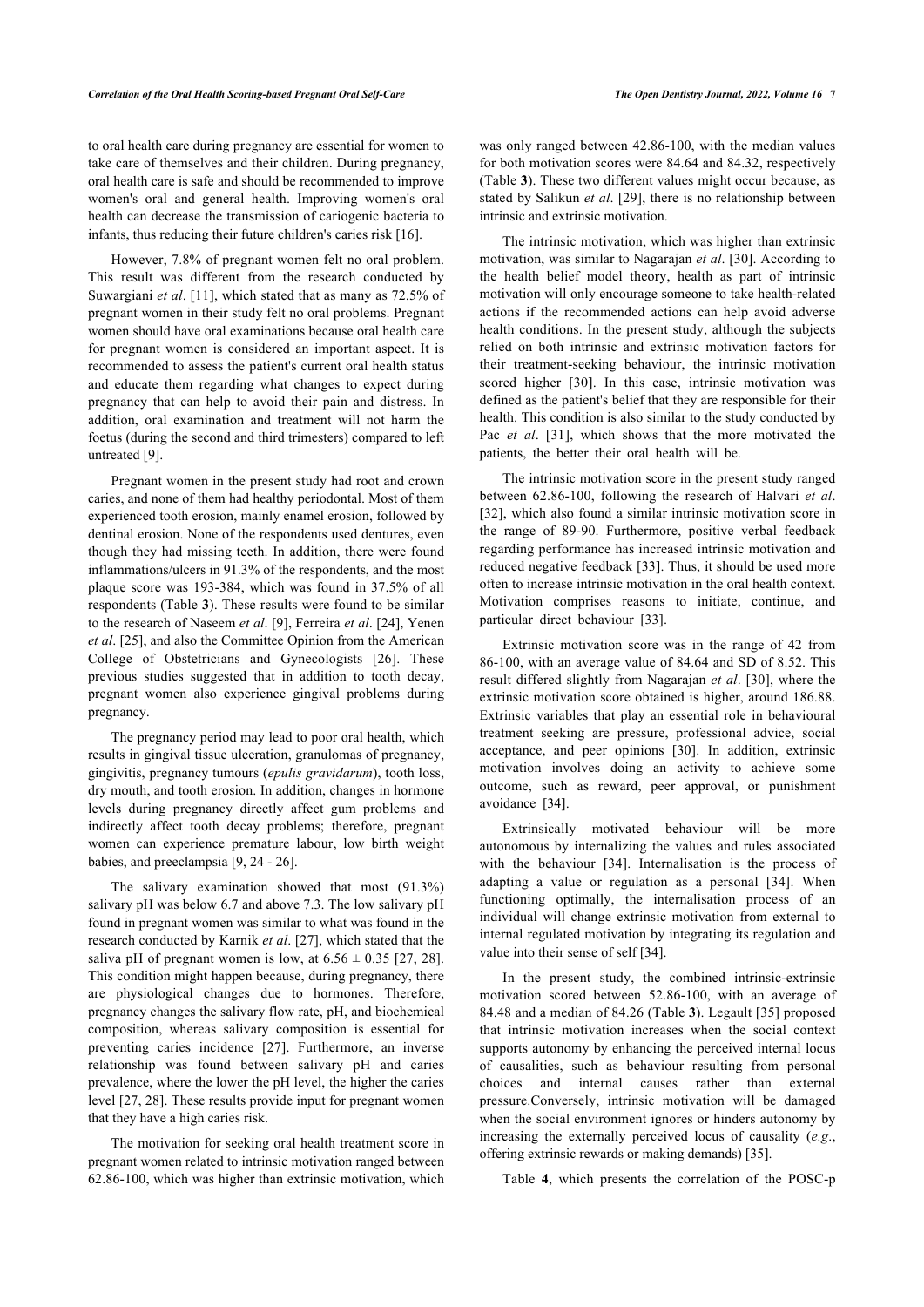to oral health care during pregnancy are essential for women to take care of themselves and their children. During pregnancy, oral health care is safe and should be recommended to improve women's oral and general health. Improving women's oral health can decrease the transmission of cariogenic bacteria to infants, thus reducing their future children's caries risk [\[16](#page-7-15)].

However, 7.8% of pregnant women felt no oral problem. This result was different from the research conducted by Suwargiani *et al*. [[11](#page-7-10)], which stated that as many as 72.5% of pregnant women in their study felt no oral problems. Pregnant women should have oral examinations because oral health care for pregnant women is considered an important aspect. It is recommended to assess the patient's current oral health status and educate them regarding what changes to expect during pregnancy that can help to avoid their pain and distress. In addition, oral examination and treatment will not harm the foetus (during the second and third trimesters) compared to left untreated [\[9\]](#page-7-8).

Pregnant women in the present study had root and crown caries, and none of them had healthy periodontal. Most of them experienced tooth erosion, mainly enamel erosion, followed by dentinal erosion. None of the respondents used dentures, even though they had missing teeth. In addition, there were found inflammations/ulcers in 91.3% of the respondents, and the most plaque score was 193-384, which was found in 37.5% of all respondents (Table **[3](#page-4-0)**). These results were found to be similar to the research of Naseem *et al*. [\[9\]](#page-7-8), Ferreira *et al*. [[24\]](#page-8-7), Yenen *et al*. [\[25](#page-8-8)], and also the Committee Opinion from the American College of Obstetricians and Gynecologists [\[26\]](#page-8-9). These previous studies suggested that in addition to tooth decay, pregnant women also experience gingival problems during pregnancy.

The pregnancy period may lead to poor oral health, which results in gingival tissue ulceration, granulomas of pregnancy, gingivitis, pregnancy tumours (*epulis gravidarum*), tooth loss, dry mouth, and tooth erosion. In addition, changes in hormone levels during pregnancy directly affect gum problems and indirectly affect tooth decay problems; therefore, pregnant women can experience premature labour, low birth weight babies, and preeclampsia [\[9,](#page-7-8) [24](#page-8-7) - [26\]](#page-8-9).

The salivary examination showed that most (91.3%) salivary pH was below 6.7 and above 7.3. The low salivary pH found in pregnant women was similar to what was found in the research conducted by Karnik *et al*. [\[27](#page-8-10)], which stated that the saliva pH of pregnant women is low, at  $6.56 \pm 0.35$  [\[27,](#page-8-10) [28\]](#page-8-11). This condition might happen because, during pregnancy, there are physiological changes due to hormones. Therefore, pregnancy changes the salivary flow rate, pH, and biochemical composition, whereas salivary composition is essential for preventing caries incidence[[27](#page-8-10)]. Furthermore, an inverse relationship was found between salivary pH and caries prevalence, where the lower the pH level, the higher the caries level [[27,](#page-8-10) [28\]](#page-8-11). These results provide input for pregnant women that they have a high caries risk.

The motivation for seeking oral health treatment score in pregnant women related to intrinsic motivation ranged between 62.86-100, which was higher than extrinsic motivation, which

was only ranged between 42.86-100, with the median values for both motivation scores were 84.64 and 84.32, respectively (Table **[3](#page-4-0)**). These two different values might occur because, as stated by Salikun *et al*. [[29\]](#page-8-0), there is no relationship between intrinsic and extrinsic motivation.

The intrinsic motivation, which was higher than extrinsic motivation, was similar to Nagarajan *et al*. [[30](#page-8-12)]. According to the health belief model theory, health as part of intrinsic motivation will only encourage someone to take health-related actions if the recommended actions can help avoid adverse health conditions. In the present study, although the subjects relied on both intrinsic and extrinsic motivation factors for their treatment-seeking behaviour, the intrinsic motivation scored higher[[30](#page-8-12)]. In this case, intrinsic motivation was defined as the patient's belief that they are responsible for their health. This condition is also similar to the study conducted by Pac*et al.* [[31](#page-8-13)], which shows that the more motivated the patients, the better their oral health will be.

The intrinsic motivation score in the present study ranged between 62.86-100, following the research of Halvari *et al*. [[32](#page-8-14)], which also found a similar intrinsic motivation score in the range of 89-90. Furthermore, positive verbal feedback regarding performance has increased intrinsic motivation and reduced negative feedback [[33\]](#page-8-15). Thus, it should be used more often to increase intrinsic motivation in the oral health context. Motivation comprises reasons to initiate, continue, and particular direct behaviour[[33\]](#page-8-15).

Extrinsic motivation score was in the range of 42 from 86-100, with an average value of 84.64 and SD of 8.52. This result differed slightly from Nagarajan *et al*. [[30](#page-8-12)], where the extrinsic motivation score obtained is higher, around 186.88. Extrinsic variables that play an essential role in behavioural treatment seeking are pressure, professional advice, social acceptance, and peer opinions [\[30\]](#page-8-12). In addition, extrinsic motivation involves doing an activity to achieve some outcome, such as reward, peer approval, or punishment avoidance[[34\]](#page-8-16).

Extrinsically motivated behaviour will be more autonomous by internalizing the values and rules associated with the behaviour[[34](#page-8-16)]. Internalisation is the process of adapting a value or regulation as a personal[[34](#page-8-16)]. When functioning optimally, the internalisation process of an individual will change extrinsic motivation from external to internal regulated motivation by integrating its regulation and value into their sense of self [\[34](#page-8-16)].

In the present study, the combined intrinsic-extrinsic motivation scored between 52.86-100, with an average of 84.48 and a median of 84.26 (Table **[3](#page-4-0)**). Legault [\[35](#page-8-17)] proposed that intrinsic motivation increases when the social context supports autonomy by enhancing the perceived internal locus of causalities, such as behaviour resulting from personal choices and internal causes rather than external pressure.Conversely, intrinsic motivation will be damaged when the social environment ignores or hinders autonomy by increasing the externally perceived locus of causality (*e.g*., offering extrinsic rewards or making demands) [\[35](#page-8-17)].

Table**4**, which presents the correlation of the POSC-p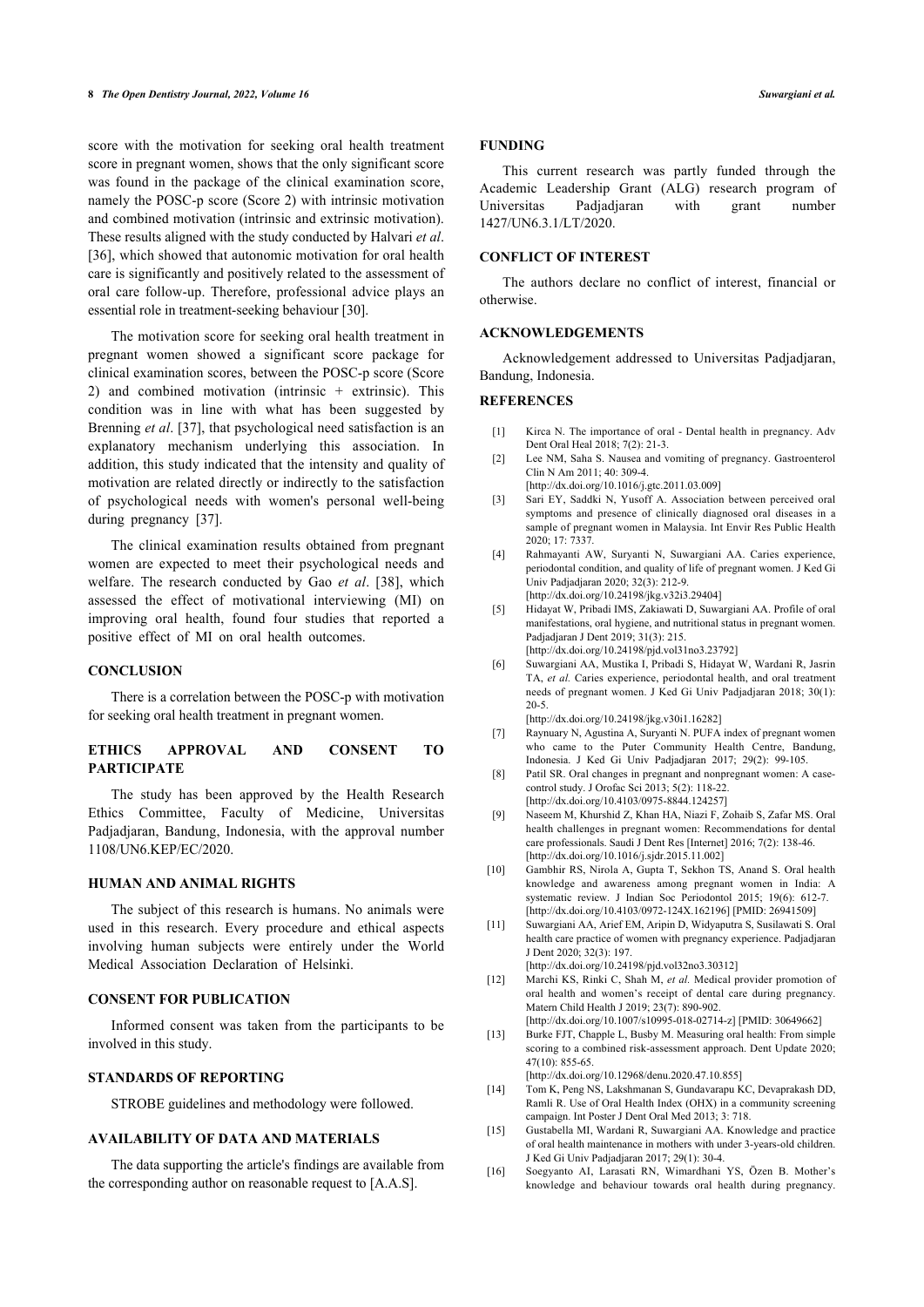score with the motivation for seeking oral health treatment score in pregnant women, shows that the only significant score was found in the package of the clinical examination score, namely the POSC-p score (Score 2) with intrinsic motivation and combined motivation (intrinsic and extrinsic motivation). These results aligned with the study conducted by Halvari *et al*. [[36\]](#page-8-18), which showed that autonomic motivation for oral health care is significantly and positively related to the assessment of oral care follow-up. Therefore, professional advice plays an essential role in treatment-seeking behaviour [\[30](#page-8-12)].

<span id="page-7-0"></span>The motivation score for seeking oral health treatment in pregnant women showed a significant score package for clinical examination scores, between the POSC-p score (Score 2) and combined motivation (intrinsic + extrinsic). This condition was in line with what has been suggested by Brenning *et al*. [[37\]](#page-8-19), that psychological need satisfaction is an explanatory mechanism underlying this association. In addition, this study indicated that the intensity and quality of motivation are related directly or indirectly to the satisfaction of psychological needs with women's personal well-being during pregnancy [\[37](#page-8-19)].

<span id="page-7-4"></span><span id="page-7-3"></span><span id="page-7-2"></span><span id="page-7-1"></span>The clinical examination results obtained from pregnant women are expected to meet their psychological needs and welfare. The research conducted by Gao *et al*. [\[38](#page-8-20)], which assessed the effect of motivational interviewing (MI) on improving oral health, found four studies that reported a positive effect of MI on oral health outcomes.

# <span id="page-7-5"></span>**CONCLUSION**

There is a correlation between the POSC-p with motivation for seeking oral health treatment in pregnant women.

#### <span id="page-7-6"></span>**ETHICS APPROVAL AND CONSENT TO PARTICIPATE**

<span id="page-7-8"></span><span id="page-7-7"></span>The study has been approved by the Health Research Ethics Committee, Faculty of Medicine, Universitas Padjadjaran, Bandung, Indonesia, with the approval number 1108/UN6.KEP/EC/2020.

#### <span id="page-7-9"></span>**HUMAN AND ANIMAL RIGHTS**

<span id="page-7-10"></span>The subject of this research is humans. No animals were used in this research. Every procedure and ethical aspects involving human subjects were entirely under the World Medical Association Declaration of Helsinki.

#### <span id="page-7-11"></span>**CONSENT FOR PUBLICATION**

<span id="page-7-12"></span>Informed consent was taken from the participants to be involved in this study.

# <span id="page-7-13"></span>**STANDARDS OF REPORTING**

STROBE guidelines and methodology were followed.

# <span id="page-7-14"></span>**AVAILABILITY OF DATA AND MATERIALS**

<span id="page-7-15"></span>The data supporting the article's findings are available from the corresponding author on reasonable request to [A.A.S].

#### **FUNDING**

This current research was partly funded through the Academic Leadership Grant (ALG) research program of Universitas Padjadjaran with grant number 1427/UN6.3.1/LT/2020.

#### **CONFLICT OF INTEREST**

The authors declare no conflict of interest, financial or otherwise.

# **ACKNOWLEDGEMENTS**

Acknowledgement addressed to Universitas Padjadjaran, Bandung, Indonesia.

#### **REFERENCES**

- [1] Kirca N. The importance of oral Dental health in pregnancy. Adv Dent Oral Heal 2018; 7(2): 21-3.
- [2] Lee NM, Saha S. Nausea and vomiting of pregnancy. Gastroenterol  $C \text{lin } N$  Am  $2011: 40: 309-4$ .
- [\[http://dx.doi.org/10.1016/j.gtc.2011.03.009](http://dx.doi.org/10.1016/j.gtc.2011.03.009)]
- [3] Sari EY, Saddki N, Yusoff A. Association between perceived oral symptoms and presence of clinically diagnosed oral diseases in a sample of pregnant women in Malaysia. Int Envir Res Public Health 2020; 17: 7337.
- [4] Rahmayanti AW, Suryanti N, Suwargiani AA. Caries experience, periodontal condition, and quality of life of pregnant women. J Ked Gi Univ Padjadjaran 2020; 32(3): 212-9.
- [\[http://dx.doi.org/10.24198/jkg.v32i3.29404\]](http://dx.doi.org/10.24198/jkg.v32i3.29404)
- [5] Hidayat W, Pribadi IMS, Zakiawati D, Suwargiani AA. Profile of oral manifestations, oral hygiene, and nutritional status in pregnant women. Padjadjaran J Dent 2019; 31(3): 215. [\[http://dx.doi.org/10.24198/pjd.vol31no3.23792](http://dx.doi.org/10.24198/pjd.vol31no3.23792)]
- [6] Suwargiani AA, Mustika I, Pribadi S, Hidayat W, Wardani R, Jasrin TA, *et al.* Caries experience, periodontal health, and oral treatment needs of pregnant women. J Ked Gi Univ Padjadjaran 2018; 30(1): 20-5.

[\[http://dx.doi.org/10.24198/jkg.v30i1.16282\]](http://dx.doi.org/10.24198/jkg.v30i1.16282)

- [7] Raynuary N, Agustina A, Suryanti N. PUFA index of pregnant women who came to the Puter Community Health Centre, Bandung, Indonesia. J Ked Gi Univ Padjadjaran 2017; 29(2): 99-105.
- [8] Patil SR. Oral changes in pregnant and nonpregnant women: A casecontrol study. J Orofac Sci 2013; 5(2): 118-22. [\[http://dx.doi.org/10.4103/0975-8844.124257\]](http://dx.doi.org/10.4103/0975-8844.124257)
- [9] Naseem M, Khurshid Z, Khan HA, Niazi F, Zohaib S, Zafar MS. Oral health challenges in pregnant women: Recommendations for dental care professionals. Saudi J Dent Res [Internet] 2016; 7(2): 138-46. [\[http://dx.doi.org/10.1016/j.sjdr.2015.11.002](http://dx.doi.org/10.1016/j.sjdr.2015.11.002)]
- [10] Gambhir RS, Nirola A, Gupta T, Sekhon TS, Anand S. Oral health knowledge and awareness among pregnant women in India: A systematic review. J Indian Soc Periodontol 2015; 19(6): 612-7. [\[http://dx.doi.org/10.4103/0972-124X.162196](http://dx.doi.org/10.4103/0972-124X.162196)] [PMID: [26941509\]](http://www.ncbi.nlm.nih.gov/pubmed/26941509)
- [11] Suwargiani AA, Arief EM, Aripin D, Widyaputra S, Susilawati S. Oral health care practice of women with pregnancy experience. Padjadjaran J Dent 2020; 32(3): 197. [\[http://dx.doi.org/10.24198/pjd.vol32no3.30312](http://dx.doi.org/10.24198/pjd.vol32no3.30312)]
- [12] Marchi KS, Rinki C, Shah M, *et al.* Medical provider promotion of oral health and women's receipt of dental care during pregnancy. Matern Child Health J 2019; 23(7): 890-902.
	- [\[http://dx.doi.org/10.1007/s10995-018-02714-z\]](http://dx.doi.org/10.1007/s10995-018-02714-z) [PMID: [30649662](http://www.ncbi.nlm.nih.gov/pubmed/30649662)]
- [13] Burke FJT, Chapple L, Busby M. Measuring oral health: From simple scoring to a combined risk-assessment approach. Dent Update 2020; 47(10): 855-65. [\[http://dx.doi.org/10.12968/denu.2020.47.10.855](http://dx.doi.org/10.12968/denu.2020.47.10.855)]
- [14] Tom K, Peng NS, Lakshmanan S, Gundavarapu KC, Devaprakash DD, Ramli R. Use of Oral Health Index (OHX) in a community screening campaign. Int Poster J Dent Oral Med 2013; 3: 718.
- [15] Gustabella MI, Wardani R, Suwargiani AA. Knowledge and practice of oral health maintenance in mothers with under 3-years-old children. J Ked Gi Univ Padjadjaran 2017; 29(1): 30-4.
- [16] Soegyanto AI, Larasati RN, Wimardhani YS, Özen B. Mother's knowledge and behaviour towards oral health during pregnancy.